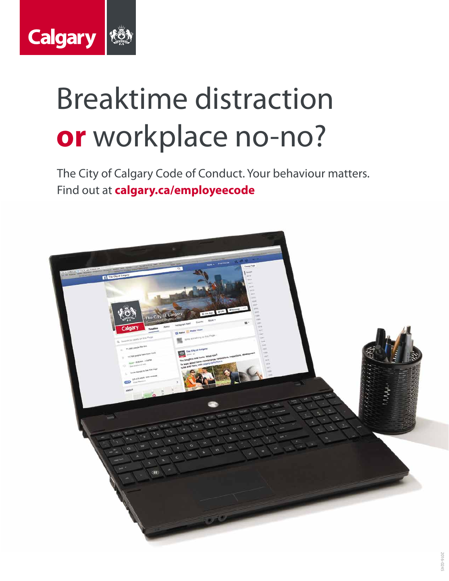

# Breaktime distraction **or** workplace no-no?

The City of Calgary Code of Conduct. Your behaviour matters. Find out at **calgary.ca/employeecode**